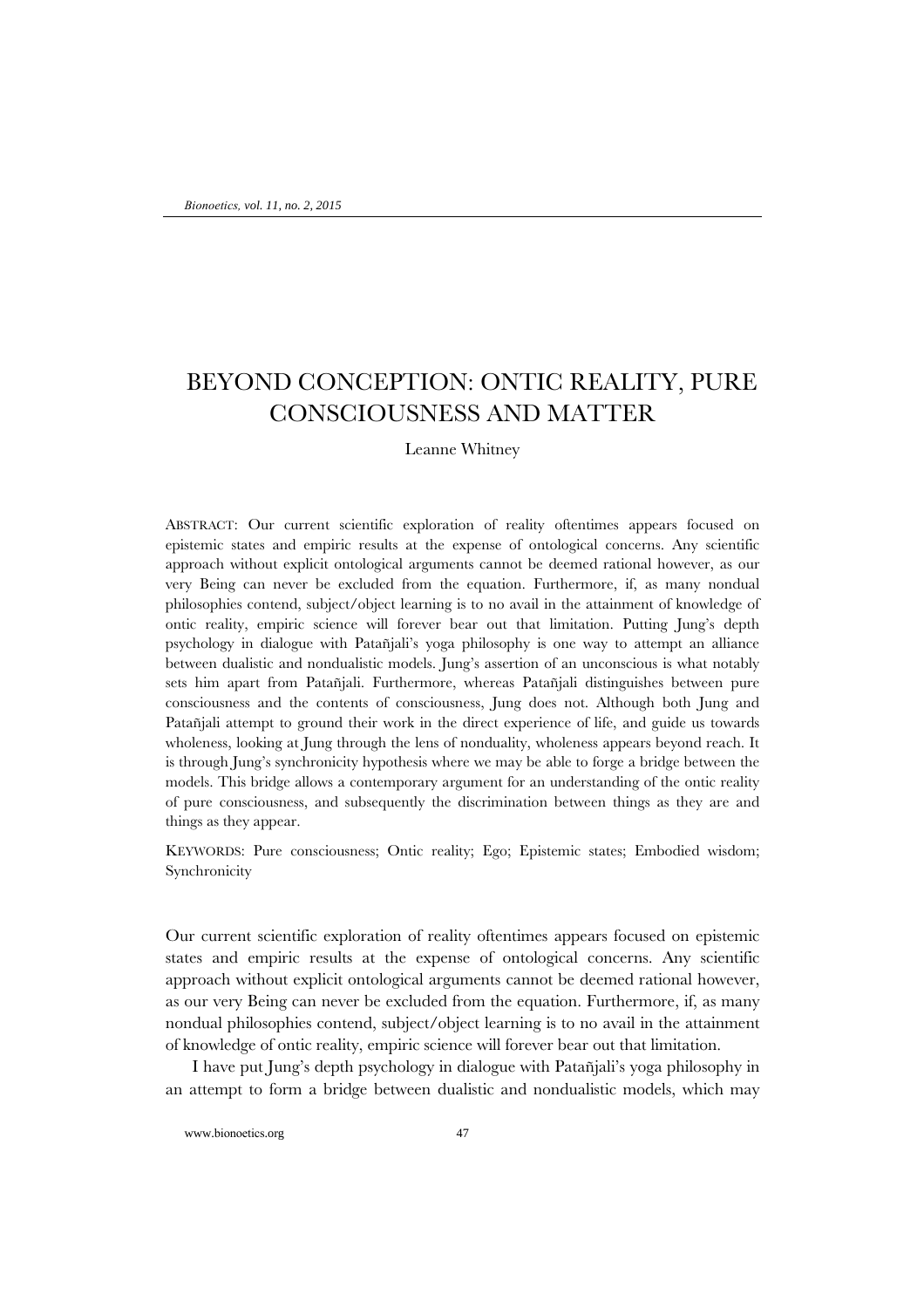## BEYOND CONCEPTION: ONTIC REALITY, PURE CONSCIOUSNESS AND MATTER

Leanne Whitney

ABSTRACT: Our current scientific exploration of reality oftentimes appears focused on epistemic states and empiric results at the expense of ontological concerns. Any scientific approach without explicit ontological arguments cannot be deemed rational however, as our very Being can never be excluded from the equation. Furthermore, if, as many nondual philosophies contend, subject/object learning is to no avail in the attainment of knowledge of ontic reality, empiric science will forever bear out that limitation. Putting Jung's depth psychology in dialogue with Patañjali's yoga philosophy is one way to attempt an alliance between dualistic and nondualistic models. Jung's assertion of an unconscious is what notably sets him apart from Patañjali. Furthermore, whereas Patañjali distinguishes between pure consciousness and the contents of consciousness, Jung does not. Although both Jung and Patañjali attempt to ground their work in the direct experience of life, and guide us towards wholeness, looking at Jung through the lens of nonduality, wholeness appears beyond reach. It is through Jung's synchronicity hypothesis where we may be able to forge a bridge between the models. This bridge allows a contemporary argument for an understanding of the ontic reality of pure consciousness, and subsequently the discrimination between things as they are and things as they appear.

KEYWORDS: Pure consciousness; Ontic reality; Ego; Epistemic states; Embodied wisdom; Synchronicity

Our current scientific exploration of reality oftentimes appears focused on epistemic states and empiric results at the expense of ontological concerns. Any scientific approach without explicit ontological arguments cannot be deemed rational however, as our very Being can never be excluded from the equation. Furthermore, if, as many nondual philosophies contend, subject/object learning is to no avail in the attainment of knowledge of ontic reality, empiric science will forever bear out that limitation.

I have put Jung's depth psychology in dialogue with Patañjali's yoga philosophy in an attempt to form a bridge between dualistic and nondualistic models, which may

www.bionoetics.org 47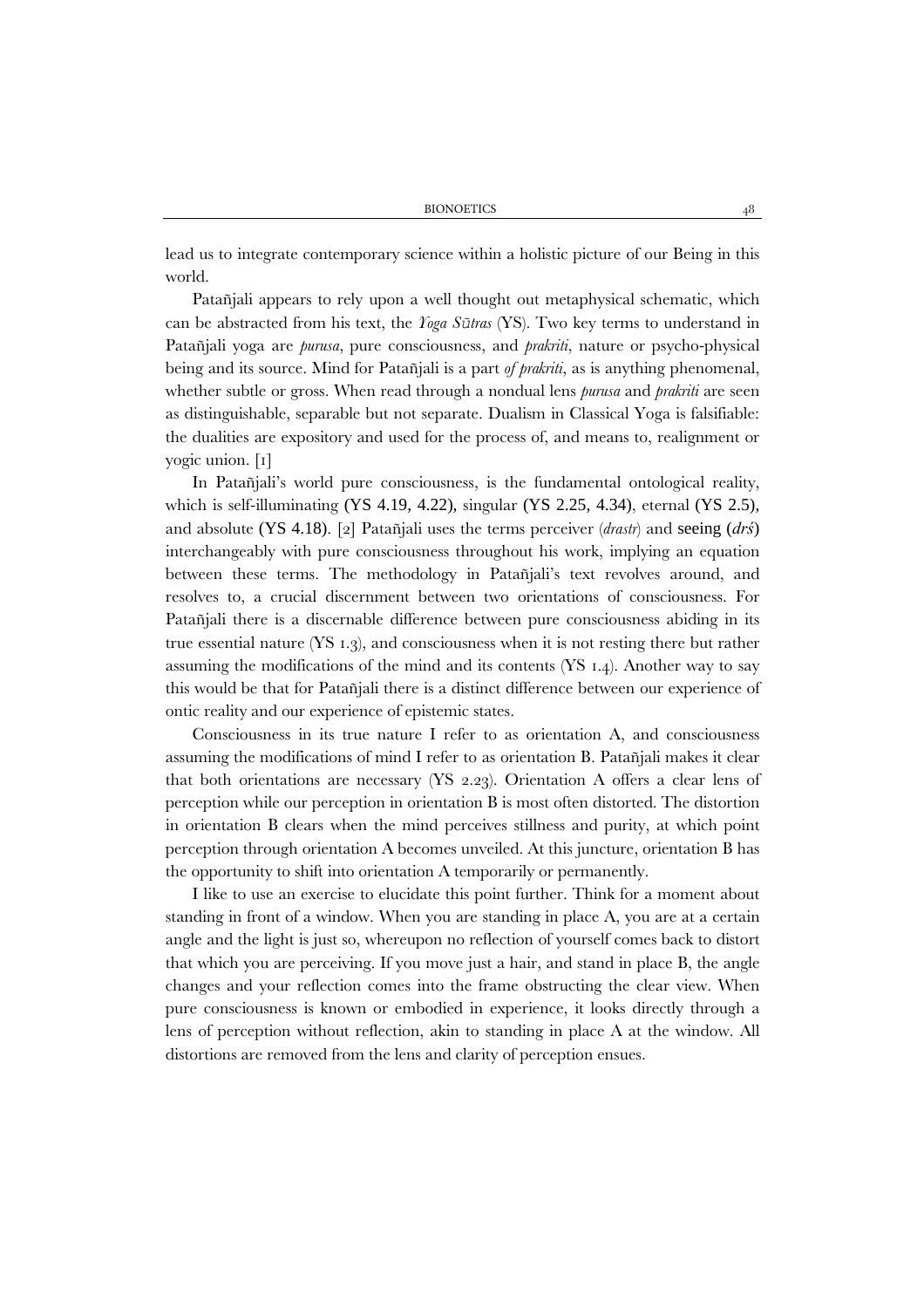lead us to integrate contemporary science within a holistic picture of our Being in this world.

Patañjali appears to rely upon a well thought out metaphysical schematic, which can be abstracted from his text, the *Yoga Sūtras* (YS). Two key terms to understand in Patañjali yoga are *purusa*, pure consciousness, and *prakriti*, nature or psycho-physical being and its source. Mind for Patañjali is a part *of prakriti*, as is anything phenomenal, whether subtle or gross. When read through a nondual lens *purusa* and *prakriti* are seen as distinguishable, separable but not separate. Dualism in Classical Yoga is falsifiable: the dualities are expository and used for the process of, and means to, realignment or yogic union. [1]

In Patañjali's world pure consciousness, is the fundamental ontological reality, which is self-illuminating (YS 4.19, 4.22), singular (YS 2.25, 4.34), eternal (YS 2.5), and absolute (YS 4.18). [2] Patañjali uses the terms perceiver (*drastr*) and seeing (*drś*) interchangeably with pure consciousness throughout his work, implying an equation between these terms. The methodology in Patañjali's text revolves around, and resolves to, a crucial discernment between two orientations of consciousness. For Patañjali there is a discernable difference between pure consciousness abiding in its true essential nature (YS 1.3), and consciousness when it is not resting there but rather assuming the modifications of the mind and its contents (YS 1.4). Another way to say this would be that for Patañjali there is a distinct difference between our experience of ontic reality and our experience of epistemic states.

Consciousness in its true nature I refer to as orientation A, and consciousness assuming the modifications of mind I refer to as orientation B. Patañjali makes it clear that both orientations are necessary (YS 2.23). Orientation A offers a clear lens of perception while our perception in orientation B is most often distorted. The distortion in orientation B clears when the mind perceives stillness and purity, at which point perception through orientation A becomes unveiled. At this juncture, orientation B has the opportunity to shift into orientation A temporarily or permanently.

I like to use an exercise to elucidate this point further. Think for a moment about standing in front of a window. When you are standing in place A, you are at a certain angle and the light is just so, whereupon no reflection of yourself comes back to distort that which you are perceiving. If you move just a hair, and stand in place B, the angle changes and your reflection comes into the frame obstructing the clear view. When pure consciousness is known or embodied in experience, it looks directly through a lens of perception without reflection, akin to standing in place A at the window. All distortions are removed from the lens and clarity of perception ensues.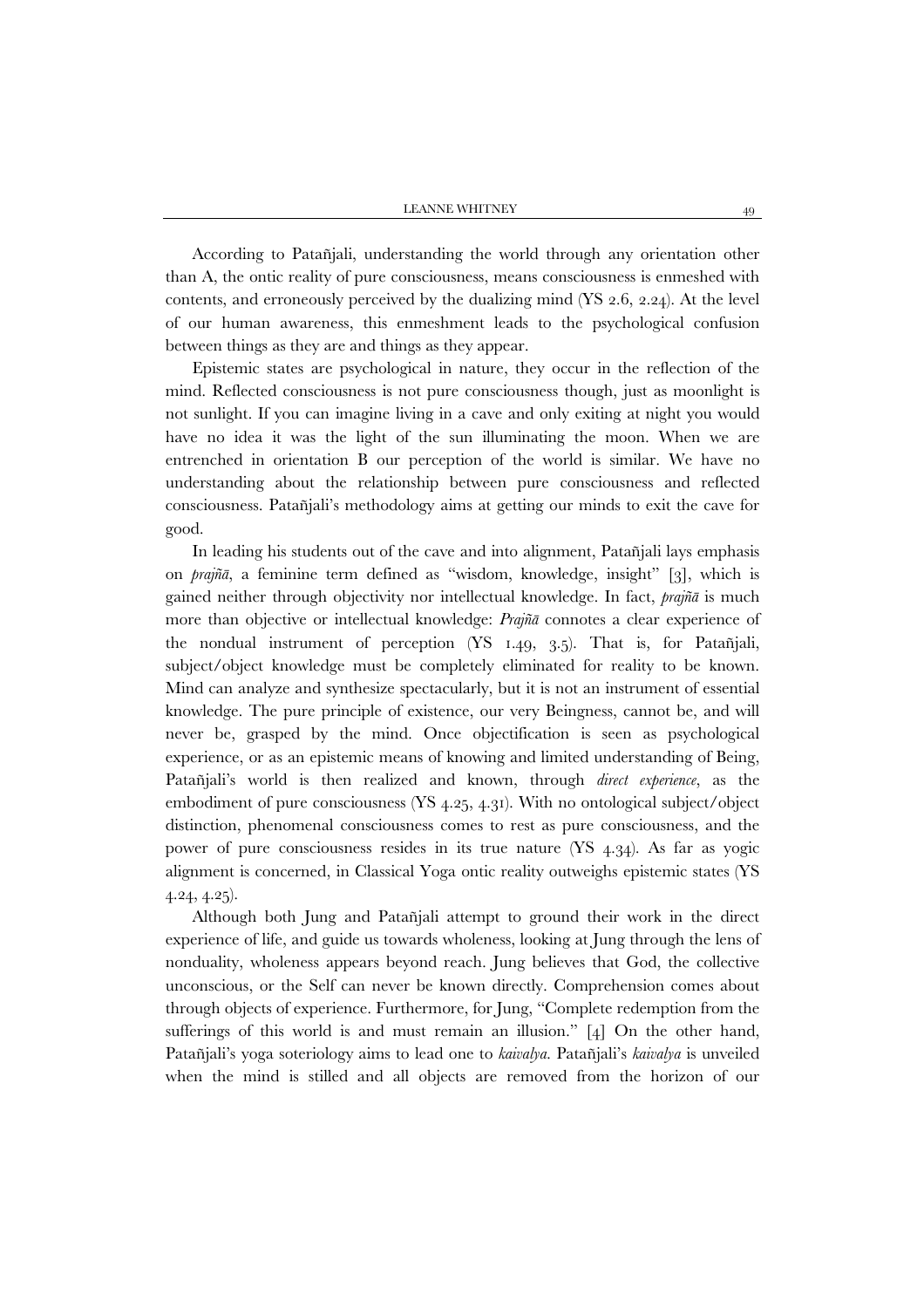According to Patañjali, understanding the world through any orientation other than A, the ontic reality of pure consciousness, means consciousness is enmeshed with contents, and erroneously perceived by the dualizing mind (YS 2.6, 2.24). At the level of our human awareness, this enmeshment leads to the psychological confusion between things as they are and things as they appear.

Epistemic states are psychological in nature, they occur in the reflection of the mind. Reflected consciousness is not pure consciousness though, just as moonlight is not sunlight. If you can imagine living in a cave and only exiting at night you would have no idea it was the light of the sun illuminating the moon. When we are entrenched in orientation B our perception of the world is similar. We have no understanding about the relationship between pure consciousness and reflected consciousness. Patañjali's methodology aims at getting our minds to exit the cave for good.

In leading his students out of the cave and into alignment, Patañjali lays emphasis on *prajñā*, a feminine term defined as "wisdom, knowledge, insight" [3], which is gained neither through objectivity nor intellectual knowledge. In fact, *prajñā* is much more than objective or intellectual knowledge: *Prajñā* connotes a clear experience of the nondual instrument of perception (YS 1.49, 3.5). That is, for Patañjali, subject/object knowledge must be completely eliminated for reality to be known. Mind can analyze and synthesize spectacularly, but it is not an instrument of essential knowledge. The pure principle of existence, our very Beingness, cannot be, and will never be, grasped by the mind. Once objectification is seen as psychological experience, or as an epistemic means of knowing and limited understanding of Being, Patañjali's world is then realized and known, through *direct experience*, as the embodiment of pure consciousness (YS 4.25, 4.31). With no ontological subject/object distinction, phenomenal consciousness comes to rest as pure consciousness, and the power of pure consciousness resides in its true nature (YS 4.34). As far as yogic alignment is concerned, in Classical Yoga ontic reality outweighs epistemic states (YS 4.24, 4.25).

Although both Jung and Patañjali attempt to ground their work in the direct experience of life, and guide us towards wholeness, looking at Jung through the lens of nonduality, wholeness appears beyond reach. Jung believes that God, the collective unconscious, or the Self can never be known directly. Comprehension comes about through objects of experience. Furthermore, for Jung, "Complete redemption from the sufferings of this world is and must remain an illusion." [4] On the other hand, Patañjali's yoga soteriology aims to lead one to *kaivalya*. Patañjali's *kaivalya* is unveiled when the mind is stilled and all objects are removed from the horizon of our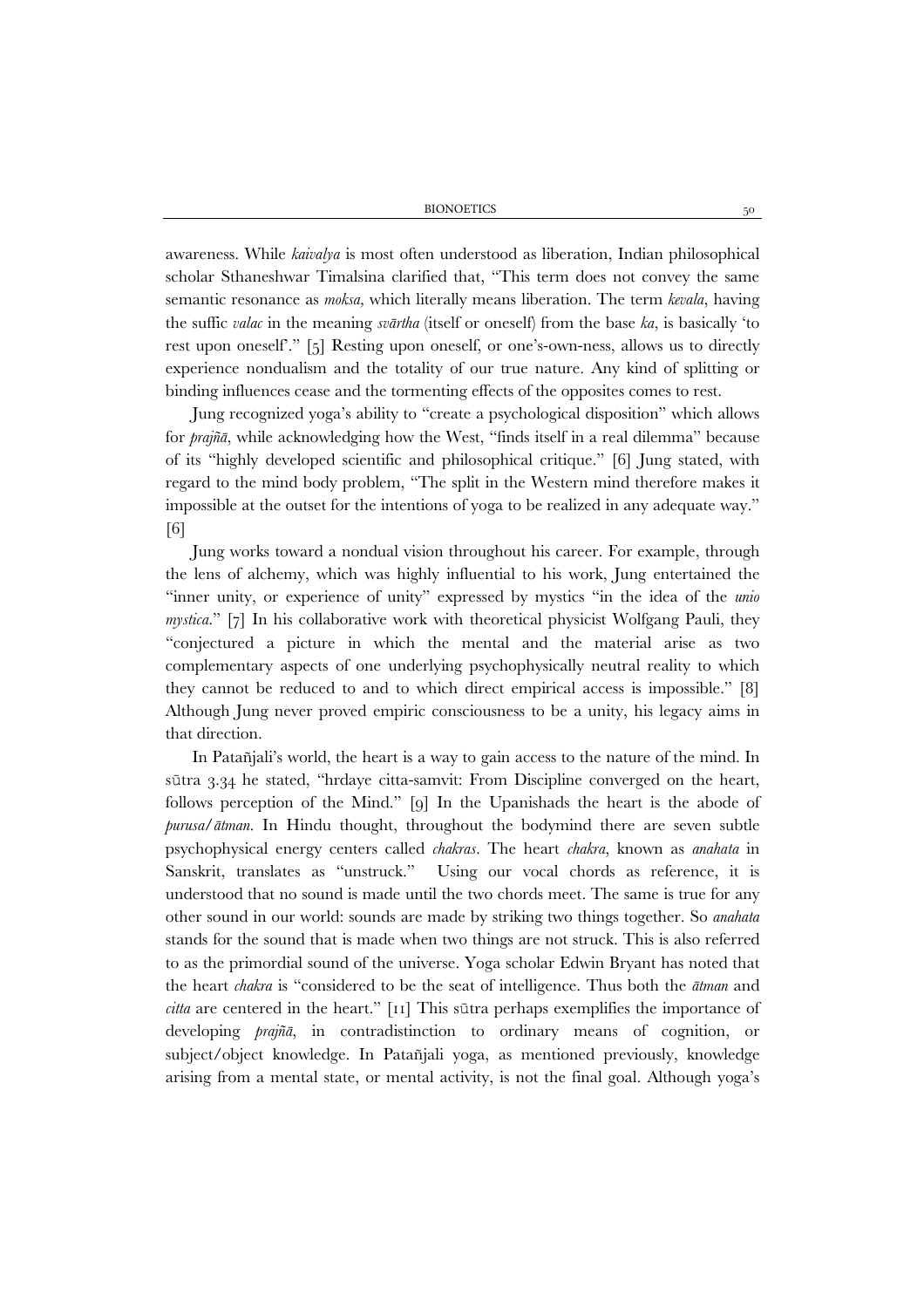awareness. While *kaivalya* is most often understood as liberation, Indian philosophical scholar Sthaneshwar Timalsina clarified that, "This term does not convey the same semantic resonance as *moksa,* which literally means liberation. The term *kevala*, having the suffic *valac* in the meaning *svārtha* (itself or oneself) from the base *ka*, is basically 'to rest upon oneself'." [5] Resting upon oneself, or one's-own-ness, allows us to directly experience nondualism and the totality of our true nature. Any kind of splitting or binding influences cease and the tormenting effects of the opposites comes to rest.

Jung recognized yoga's ability to "create a psychological disposition" which allows for *prajñā*, while acknowledging how the West, "finds itself in a real dilemma" because of its "highly developed scientific and philosophical critique." [6] Jung stated, with regard to the mind body problem, "The split in the Western mind therefore makes it impossible at the outset for the intentions of yoga to be realized in any adequate way." [6]

Jung works toward a nondual vision throughout his career. For example, through the lens of alchemy, which was highly influential to his work, Jung entertained the "inner unity, or experience of unity" expressed by mystics "in the idea of the *unio mystica*." [7] In his collaborative work with theoretical physicist Wolfgang Pauli, they "conjectured a picture in which the mental and the material arise as two complementary aspects of one underlying psychophysically neutral reality to which they cannot be reduced to and to which direct empirical access is impossible." [8] Although Jung never proved empiric consciousness to be a unity, his legacy aims in that direction.

In Patañjali's world, the heart is a way to gain access to the nature of the mind. In sūtra 3.34 he stated, "hrdaye citta-samvit: From Discipline converged on the heart, follows perception of the Mind." [9] In the Upanishads the heart is the abode of *purusa*/*ātman*. In Hindu thought, throughout the bodymind there are seven subtle psychophysical energy centers called *chakras*. The heart *chakra*, known as *anahata* in Sanskrit, translates as "unstruck." Using our vocal chords as reference, it is understood that no sound is made until the two chords meet. The same is true for any other sound in our world: sounds are made by striking two things together. So *anahata* stands for the sound that is made when two things are not struck. This is also referred to as the primordial sound of the universe. Yoga scholar Edwin Bryant has noted that the heart *chakra* is "considered to be the seat of intelligence. Thus both the *ātman* and *citta* are centered in the heart." [11] This sūtra perhaps exemplifies the importance of developing *prajñā*, in contradistinction to ordinary means of cognition, or subject/object knowledge. In Patañjali yoga, as mentioned previously, knowledge arising from a mental state, or mental activity, is not the final goal. Although yoga's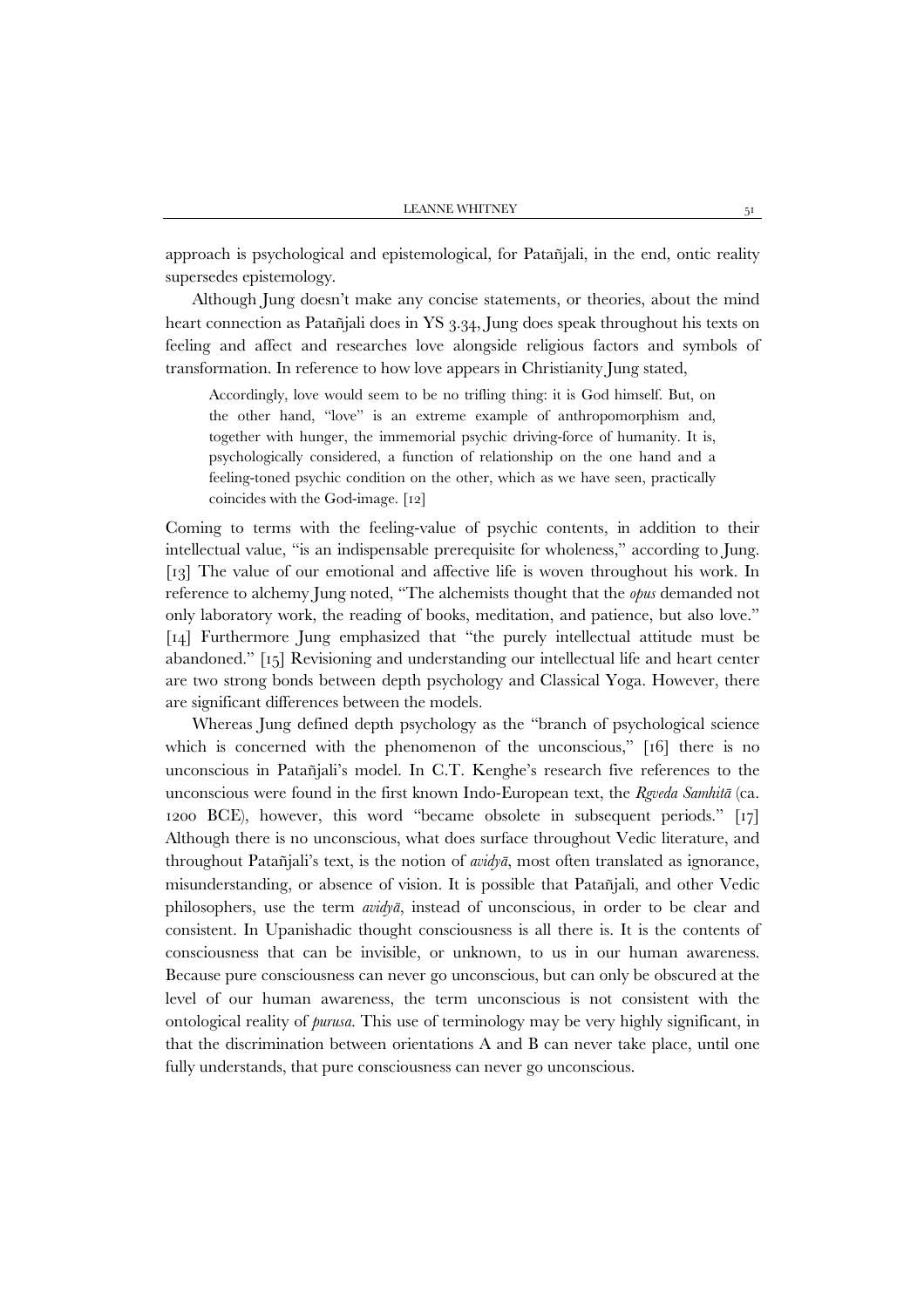approach is psychological and epistemological, for Patañjali, in the end, ontic reality supersedes epistemology.

Although Jung doesn't make any concise statements, or theories, about the mind heart connection as Patañjali does in YS 3.34, Jung does speak throughout his texts on feeling and affect and researches love alongside religious factors and symbols of transformation. In reference to how love appears in Christianity Jung stated,

Accordingly, love would seem to be no trifling thing: it is God himself. But, on the other hand, "love" is an extreme example of anthropomorphism and, together with hunger, the immemorial psychic driving-force of humanity. It is, psychologically considered, a function of relationship on the one hand and a feeling-toned psychic condition on the other, which as we have seen, practically coincides with the God-image. [12]

Coming to terms with the feeling-value of psychic contents, in addition to their intellectual value, "is an indispensable prerequisite for wholeness," according to Jung. [13] The value of our emotional and affective life is woven throughout his work. In reference to alchemy Jung noted, "The alchemists thought that the *opus* demanded not only laboratory work, the reading of books, meditation, and patience, but also love." [14] Furthermore Jung emphasized that "the purely intellectual attitude must be abandoned." [15] Revisioning and understanding our intellectual life and heart center are two strong bonds between depth psychology and Classical Yoga. However, there are significant differences between the models.

Whereas Jung defined depth psychology as the "branch of psychological science which is concerned with the phenomenon of the unconscious," [16] there is no unconscious in Patañjali's model. In C.T. Kenghe's research five references to the unconscious were found in the first known Indo-European text, the *Rgveda Samhitā* (ca. 1200 BCE), however, this word "became obsolete in subsequent periods." [17] Although there is no unconscious, what does surface throughout Vedic literature, and throughout Patañjali's text, is the notion of *avidyā*, most often translated as ignorance, misunderstanding, or absence of vision. It is possible that Patañjali, and other Vedic philosophers, use the term *avidyā*, instead of unconscious, in order to be clear and consistent. In Upanishadic thought consciousness is all there is. It is the contents of consciousness that can be invisible, or unknown, to us in our human awareness. Because pure consciousness can never go unconscious, but can only be obscured at the level of our human awareness, the term unconscious is not consistent with the ontological reality of *purusa*. This use of terminology may be very highly significant, in that the discrimination between orientations A and B can never take place, until one fully understands, that pure consciousness can never go unconscious.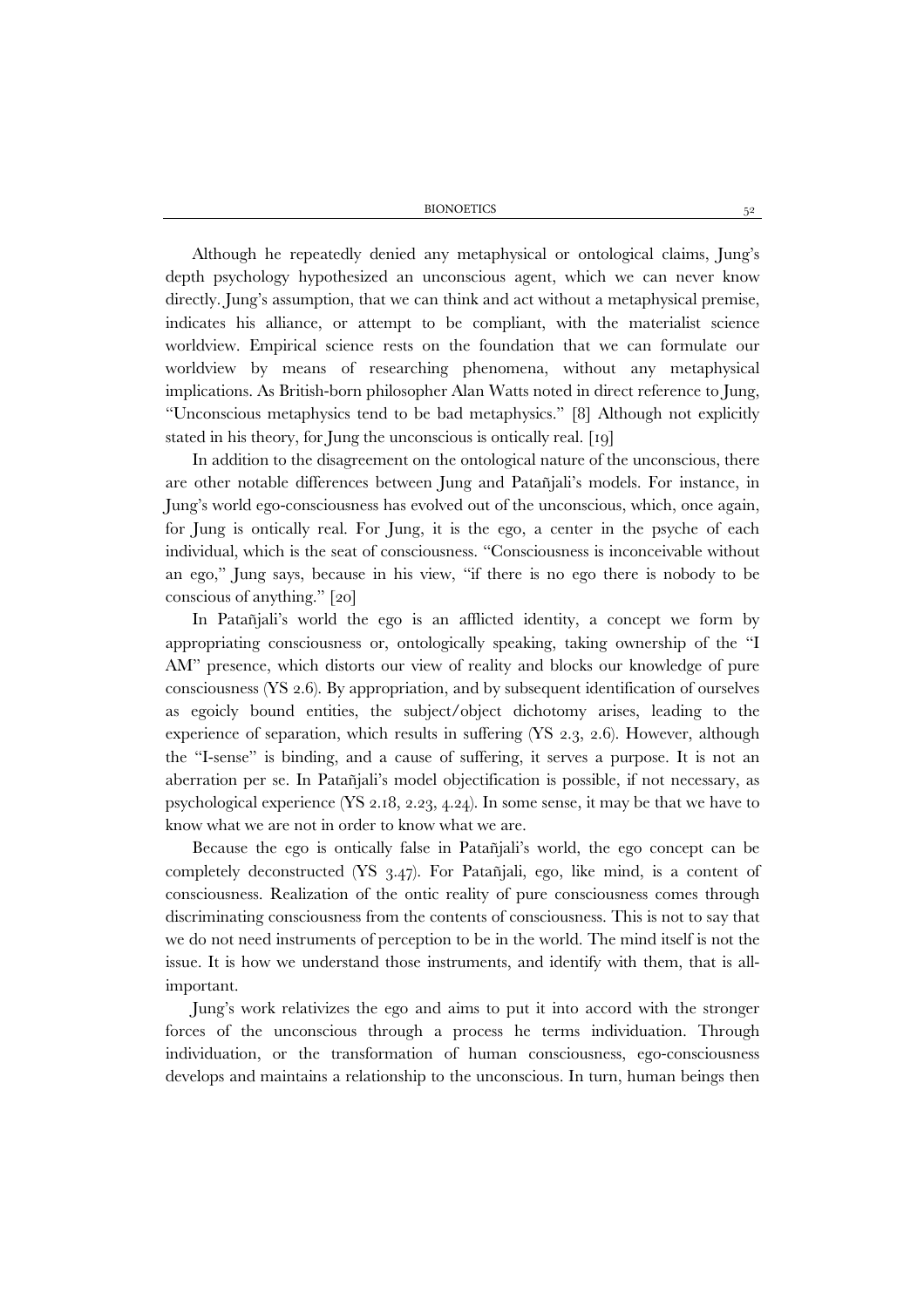Although he repeatedly denied any metaphysical or ontological claims, Jung's depth psychology hypothesized an unconscious agent, which we can never know directly. Jung's assumption, that we can think and act without a metaphysical premise, indicates his alliance, or attempt to be compliant, with the materialist science worldview. Empirical science rests on the foundation that we can formulate our worldview by means of researching phenomena, without any metaphysical implications. As British-born philosopher Alan Watts noted in direct reference to Jung, "Unconscious metaphysics tend to be bad metaphysics." [8] Although not explicitly stated in his theory, for Jung the unconscious is ontically real. [19]

In addition to the disagreement on the ontological nature of the unconscious, there are other notable differences between Jung and Patañjali's models. For instance, in Jung's world ego-consciousness has evolved out of the unconscious, which, once again, for Jung is ontically real. For Jung, it is the ego, a center in the psyche of each individual, which is the seat of consciousness. "Consciousness is inconceivable without an ego," Jung says, because in his view, "if there is no ego there is nobody to be conscious of anything." [20]

In Patañjali's world the ego is an afflicted identity, a concept we form by appropriating consciousness or, ontologically speaking, taking ownership of the "I AM" presence, which distorts our view of reality and blocks our knowledge of pure consciousness (YS 2.6). By appropriation, and by subsequent identification of ourselves as egoicly bound entities, the subject/object dichotomy arises, leading to the experience of separation, which results in suffering (YS 2.3, 2.6). However, although the "I-sense" is binding, and a cause of suffering, it serves a purpose. It is not an aberration per se. In Patañjali's model objectification is possible, if not necessary, as psychological experience (YS 2.18, 2.23, 4.24). In some sense, it may be that we have to know what we are not in order to know what we are.

Because the ego is ontically false in Patañjali's world, the ego concept can be completely deconstructed (YS 3.47). For Patañjali, ego, like mind, is a content of consciousness. Realization of the ontic reality of pure consciousness comes through discriminating consciousness from the contents of consciousness. This is not to say that we do not need instruments of perception to be in the world. The mind itself is not the issue. It is how we understand those instruments, and identify with them, that is allimportant.

Jung's work relativizes the ego and aims to put it into accord with the stronger forces of the unconscious through a process he terms individuation. Through individuation, or the transformation of human consciousness, ego-consciousness develops and maintains a relationship to the unconscious. In turn, human beings then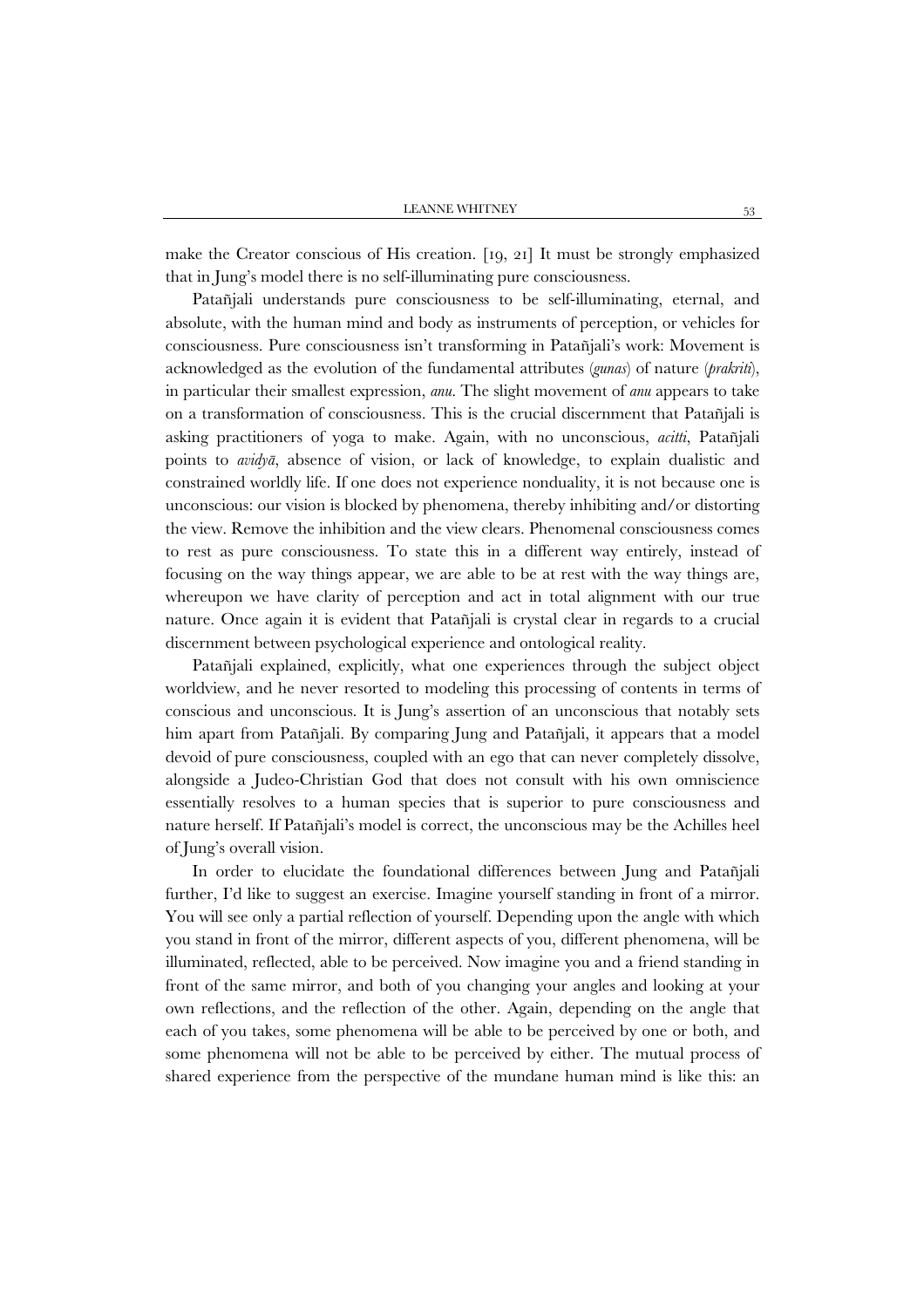make the Creator conscious of His creation. [19, 21] It must be strongly emphasized that in Jung's model there is no self-illuminating pure consciousness.

Patañjali understands pure consciousness to be self-illuminating, eternal, and absolute, with the human mind and body as instruments of perception, or vehicles for consciousness. Pure consciousness isn't transforming in Patañjali's work: Movement is acknowledged as the evolution of the fundamental attributes (*gunas*) of nature (*prakriti*), in particular their smallest expression, *anu*. The slight movement of *anu* appears to take on a transformation of consciousness. This is the crucial discernment that Patañjali is asking practitioners of yoga to make. Again, with no unconscious, *acitti*, Patañjali points to *avidyā*, absence of vision, or lack of knowledge, to explain dualistic and constrained worldly life. If one does not experience nonduality, it is not because one is unconscious: our vision is blocked by phenomena, thereby inhibiting and/or distorting the view. Remove the inhibition and the view clears. Phenomenal consciousness comes to rest as pure consciousness. To state this in a different way entirely, instead of focusing on the way things appear, we are able to be at rest with the way things are, whereupon we have clarity of perception and act in total alignment with our true nature. Once again it is evident that Patañjali is crystal clear in regards to a crucial discernment between psychological experience and ontological reality.

Patañjali explained, explicitly, what one experiences through the subject object worldview, and he never resorted to modeling this processing of contents in terms of conscious and unconscious. It is Jung's assertion of an unconscious that notably sets him apart from Patañjali. By comparing Jung and Patañjali, it appears that a model devoid of pure consciousness, coupled with an ego that can never completely dissolve, alongside a Judeo-Christian God that does not consult with his own omniscience essentially resolves to a human species that is superior to pure consciousness and nature herself. If Patañjali's model is correct, the unconscious may be the Achilles heel of Jung's overall vision.

In order to elucidate the foundational differences between Jung and Patañjali further, I'd like to suggest an exercise. Imagine yourself standing in front of a mirror. You will see only a partial reflection of yourself. Depending upon the angle with which you stand in front of the mirror, different aspects of you, different phenomena, will be illuminated, reflected, able to be perceived. Now imagine you and a friend standing in front of the same mirror, and both of you changing your angles and looking at your own reflections, and the reflection of the other. Again, depending on the angle that each of you takes, some phenomena will be able to be perceived by one or both, and some phenomena will not be able to be perceived by either. The mutual process of shared experience from the perspective of the mundane human mind is like this: an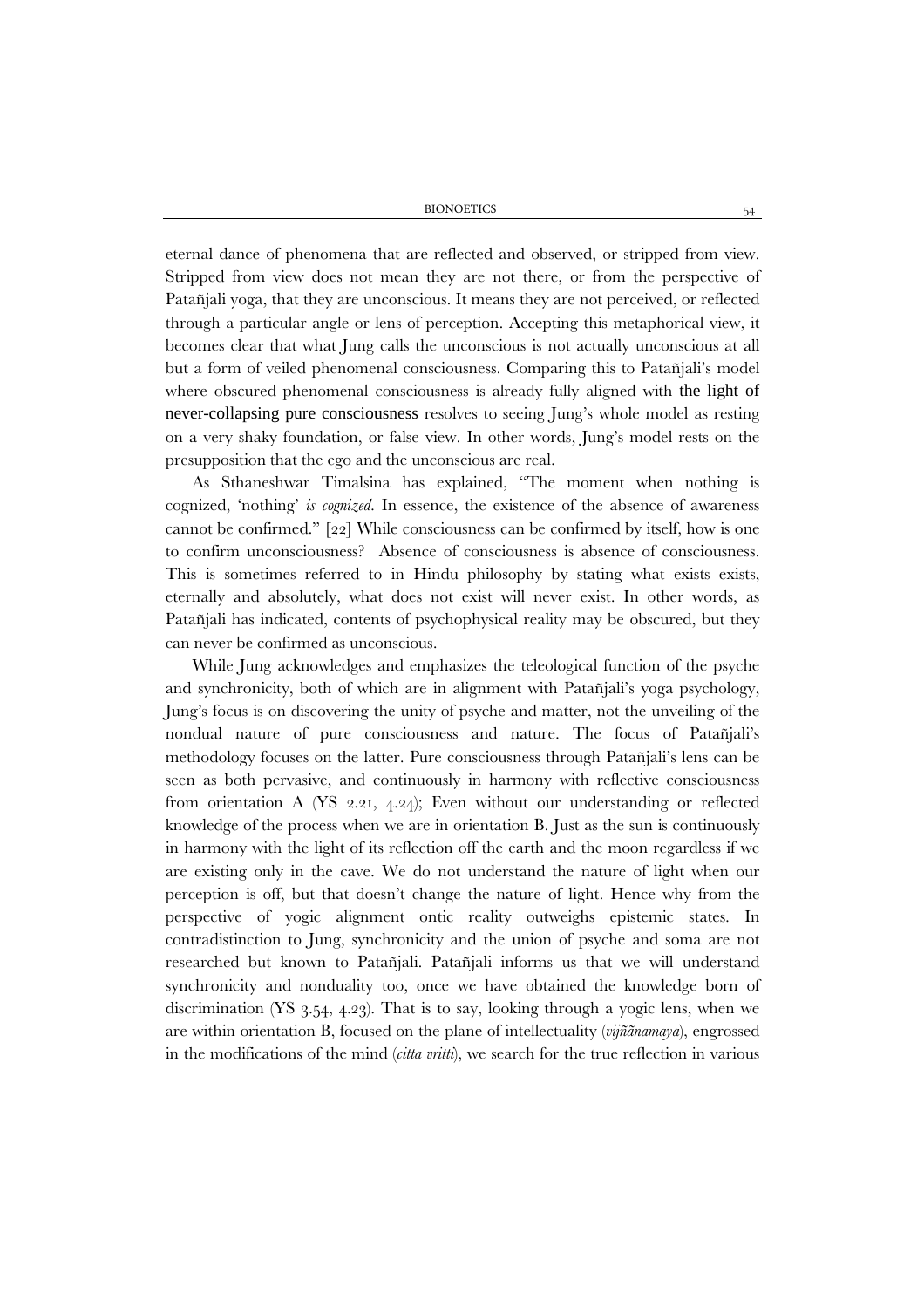eternal dance of phenomena that are reflected and observed, or stripped from view. Stripped from view does not mean they are not there, or from the perspective of Patañjali yoga, that they are unconscious. It means they are not perceived, or reflected through a particular angle or lens of perception. Accepting this metaphorical view, it becomes clear that what Jung calls the unconscious is not actually unconscious at all but a form of veiled phenomenal consciousness. Comparing this to Patañjali's model where obscured phenomenal consciousness is already fully aligned with the light of never-collapsing pure consciousness resolves to seeing Jung's whole model as resting on a very shaky foundation, or false view. In other words, Jung's model rests on the presupposition that the ego and the unconscious are real.

As Sthaneshwar Timalsina has explained, "The moment when nothing is cognized, 'nothing' *is cognized*. In essence, the existence of the absence of awareness cannot be confirmed." [22] While consciousness can be confirmed by itself, how is one to confirm unconsciousness? Absence of consciousness is absence of consciousness. This is sometimes referred to in Hindu philosophy by stating what exists exists, eternally and absolutely, what does not exist will never exist. In other words, as Patañjali has indicated, contents of psychophysical reality may be obscured, but they can never be confirmed as unconscious.

While Jung acknowledges and emphasizes the teleological function of the psyche and synchronicity, both of which are in alignment with Patañjali's yoga psychology, Jung's focus is on discovering the unity of psyche and matter, not the unveiling of the nondual nature of pure consciousness and nature. The focus of Patañjali's methodology focuses on the latter. Pure consciousness through Patañjali's lens can be seen as both pervasive, and continuously in harmony with reflective consciousness from orientation A (YS 2.21, 4.24); Even without our understanding or reflected knowledge of the process when we are in orientation B. Just as the sun is continuously in harmony with the light of its reflection off the earth and the moon regardless if we are existing only in the cave. We do not understand the nature of light when our perception is off, but that doesn't change the nature of light. Hence why from the perspective of yogic alignment ontic reality outweighs epistemic states. In contradistinction to Jung, synchronicity and the union of psyche and soma are not researched but known to Patañjali. Patañjali informs us that we will understand synchronicity and nonduality too, once we have obtained the knowledge born of discrimination (YS 3.54, 4.23). That is to say, looking through a yogic lens, when we are within orientation B, focused on the plane of intellectuality (*vijñãnamaya*), engrossed in the modifications of the mind (*citta vritti*), we search for the true reflection in various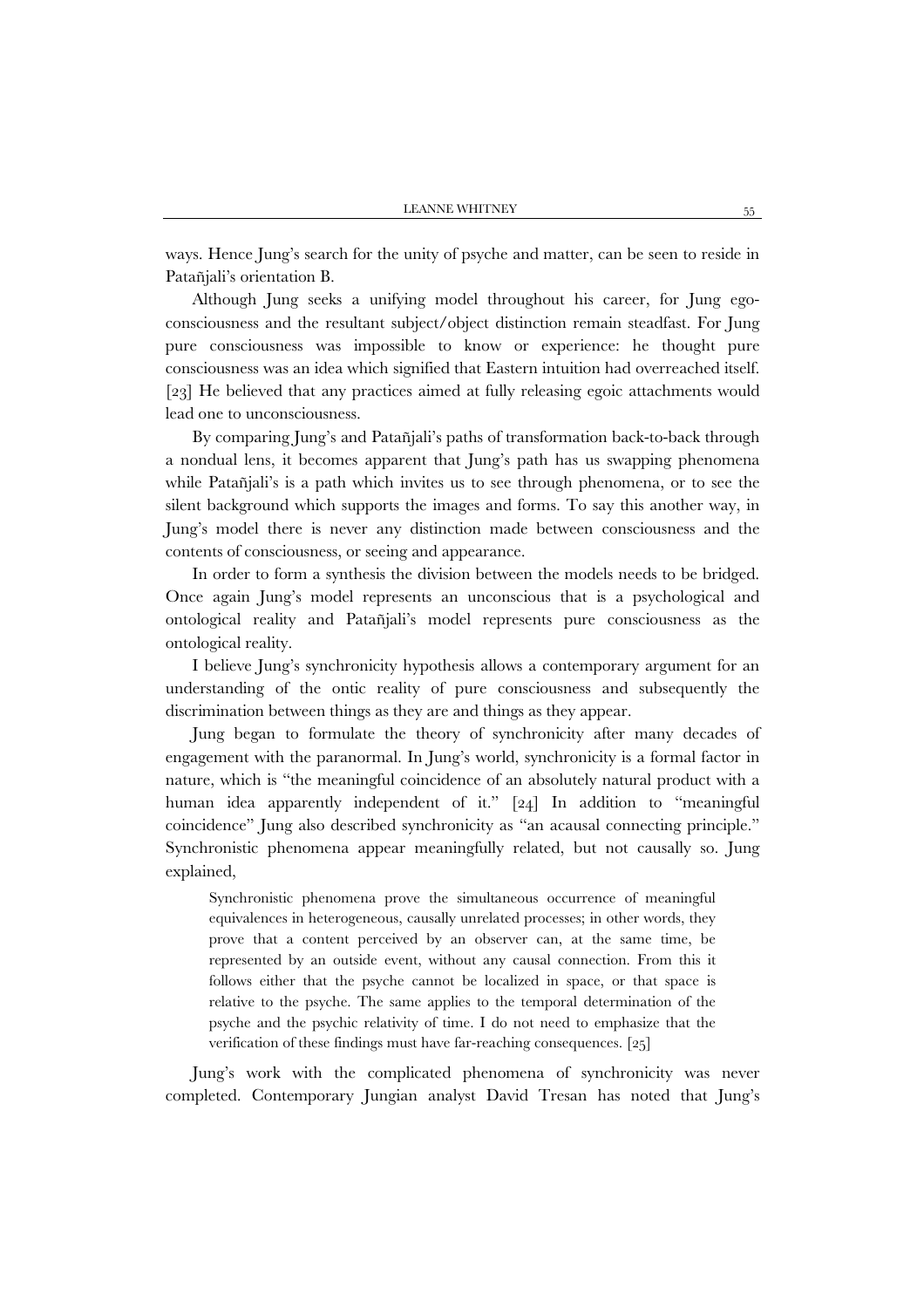ways. Hence Jung's search for the unity of psyche and matter, can be seen to reside in Patañjali's orientation B.

Although Jung seeks a unifying model throughout his career, for Jung egoconsciousness and the resultant subject/object distinction remain steadfast. For Jung pure consciousness was impossible to know or experience: he thought pure consciousness was an idea which signified that Eastern intuition had overreached itself. [23] He believed that any practices aimed at fully releasing egoic attachments would lead one to unconsciousness.

By comparing Jung's and Patañjali's paths of transformation back-to-back through a nondual lens, it becomes apparent that Jung's path has us swapping phenomena while Patañjali's is a path which invites us to see through phenomena, or to see the silent background which supports the images and forms. To say this another way, in Jung's model there is never any distinction made between consciousness and the contents of consciousness, or seeing and appearance.

In order to form a synthesis the division between the models needs to be bridged. Once again Jung's model represents an unconscious that is a psychological and ontological reality and Patañjali's model represents pure consciousness as the ontological reality.

I believe Jung's synchronicity hypothesis allows a contemporary argument for an understanding of the ontic reality of pure consciousness and subsequently the discrimination between things as they are and things as they appear.

Jung began to formulate the theory of synchronicity after many decades of engagement with the paranormal. In Jung's world, synchronicity is a formal factor in nature, which is "the meaningful coincidence of an absolutely natural product with a human idea apparently independent of it." [24] In addition to "meaningful coincidence" Jung also described synchronicity as "an acausal connecting principle." Synchronistic phenomena appear meaningfully related, but not causally so. Jung explained,

Synchronistic phenomena prove the simultaneous occurrence of meaningful equivalences in heterogeneous, causally unrelated processes; in other words, they prove that a content perceived by an observer can, at the same time, be represented by an outside event, without any causal connection. From this it follows either that the psyche cannot be localized in space, or that space is relative to the psyche. The same applies to the temporal determination of the psyche and the psychic relativity of time. I do not need to emphasize that the verification of these findings must have far-reaching consequences. [25]

Jung's work with the complicated phenomena of synchronicity was never completed. Contemporary Jungian analyst David Tresan has noted that Jung's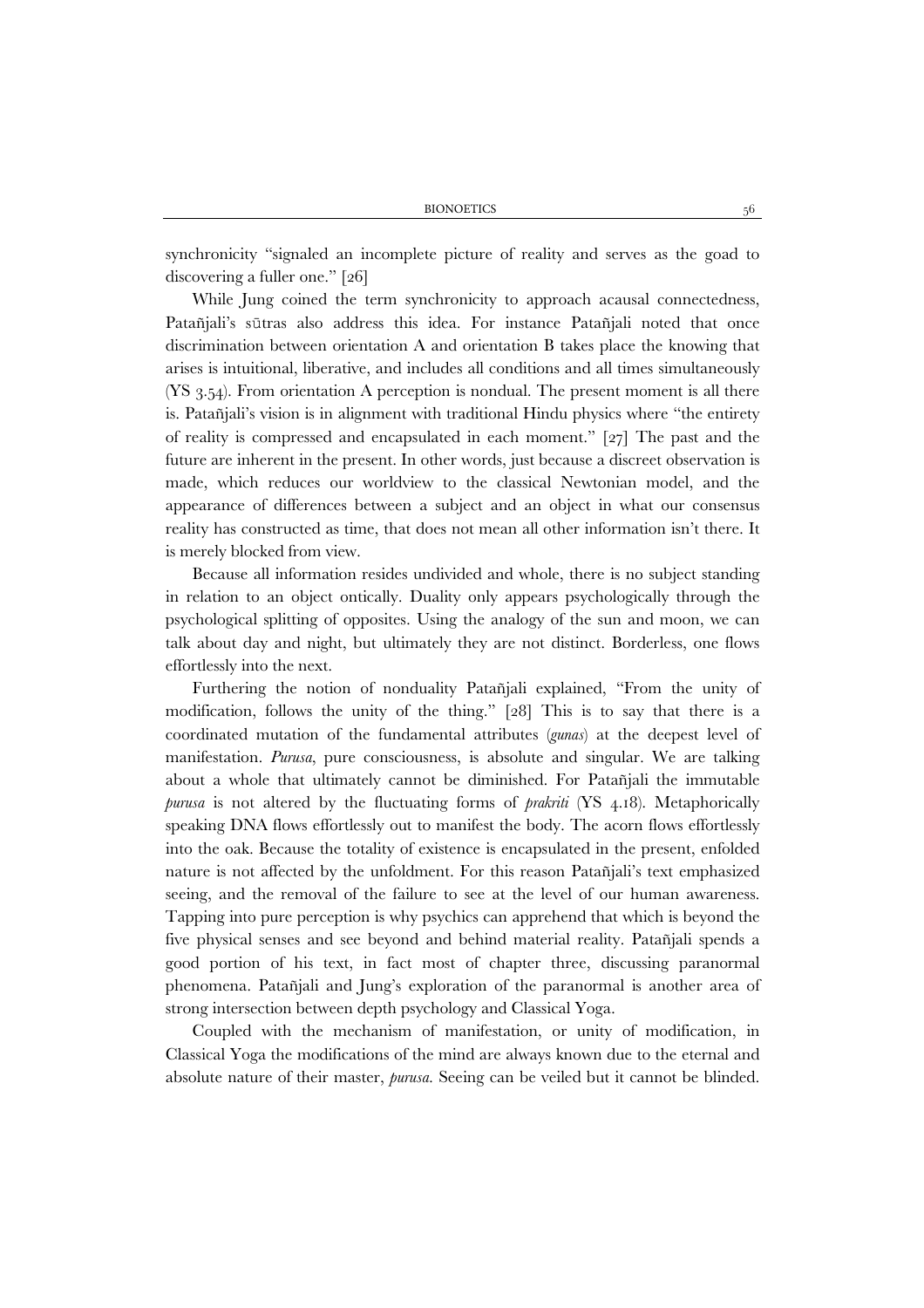synchronicity "signaled an incomplete picture of reality and serves as the goad to discovering a fuller one." [26]

While Jung coined the term synchronicity to approach acausal connectedness, Patañjali's sūtras also address this idea. For instance Patañjali noted that once discrimination between orientation A and orientation B takes place the knowing that arises is intuitional, liberative, and includes all conditions and all times simultaneously (YS 3.54). From orientation A perception is nondual. The present moment is all there is. Patañjali's vision is in alignment with traditional Hindu physics where "the entirety of reality is compressed and encapsulated in each moment." [27] The past and the future are inherent in the present. In other words, just because a discreet observation is made, which reduces our worldview to the classical Newtonian model, and the appearance of differences between a subject and an object in what our consensus reality has constructed as time, that does not mean all other information isn't there. It is merely blocked from view.

Because all information resides undivided and whole, there is no subject standing in relation to an object ontically. Duality only appears psychologically through the psychological splitting of opposites. Using the analogy of the sun and moon, we can talk about day and night, but ultimately they are not distinct. Borderless, one flows effortlessly into the next.

Furthering the notion of nonduality Patañjali explained, "From the unity of modification, follows the unity of the thing." [28] This is to say that there is a coordinated mutation of the fundamental attributes (*gunas*) at the deepest level of manifestation. *Purusa*, pure consciousness, is absolute and singular. We are talking about a whole that ultimately cannot be diminished. For Patañjali the immutable *purusa* is not altered by the fluctuating forms of *prakriti* (YS 4.18). Metaphorically speaking DNA flows effortlessly out to manifest the body. The acorn flows effortlessly into the oak. Because the totality of existence is encapsulated in the present, enfolded nature is not affected by the unfoldment. For this reason Patañjali's text emphasized seeing, and the removal of the failure to see at the level of our human awareness. Tapping into pure perception is why psychics can apprehend that which is beyond the five physical senses and see beyond and behind material reality. Patañjali spends a good portion of his text, in fact most of chapter three, discussing paranormal phenomena. Patañjali and Jung's exploration of the paranormal is another area of strong intersection between depth psychology and Classical Yoga.

Coupled with the mechanism of manifestation, or unity of modification, in Classical Yoga the modifications of the mind are always known due to the eternal and absolute nature of their master, *purusa*. Seeing can be veiled but it cannot be blinded.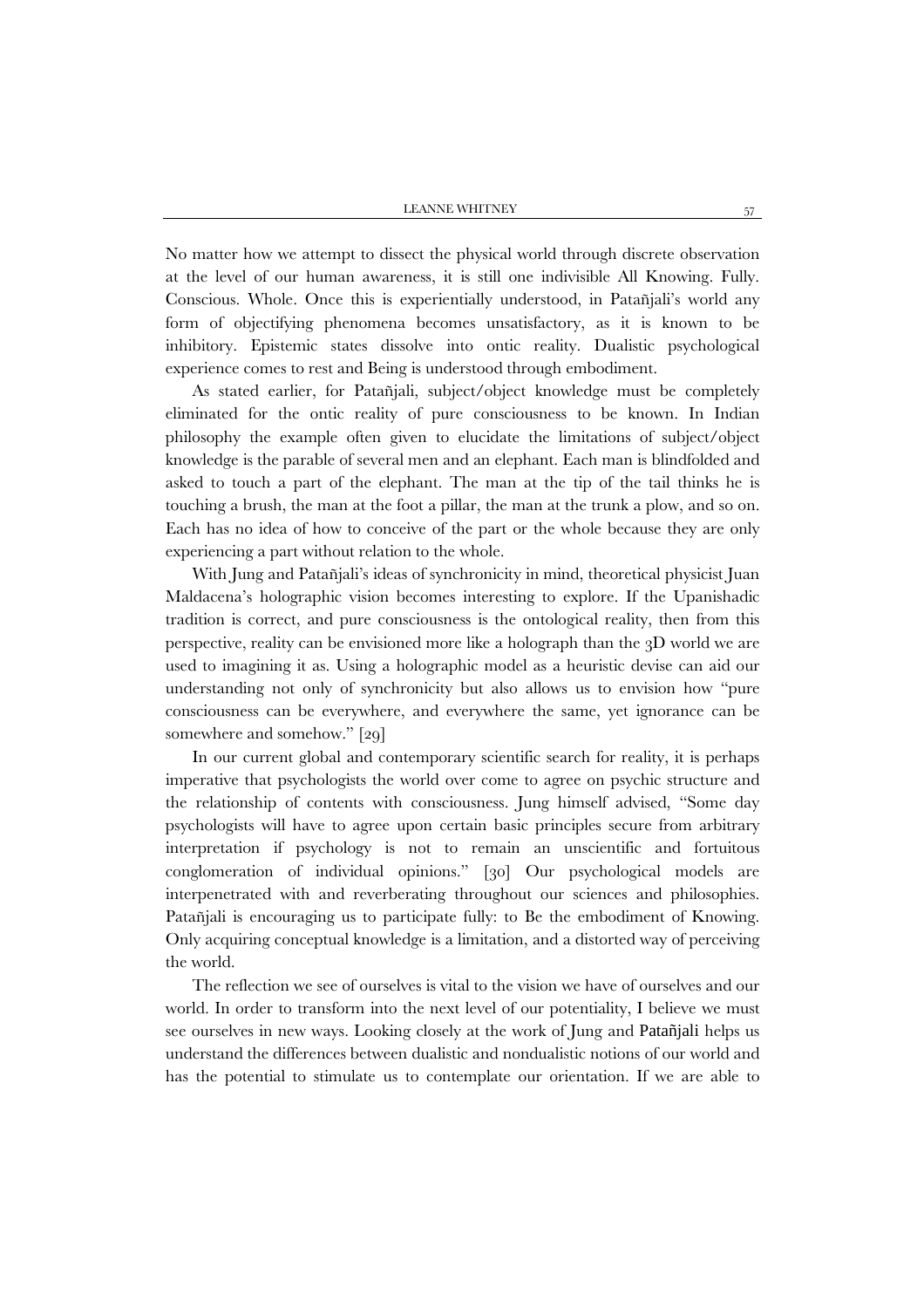No matter how we attempt to dissect the physical world through discrete observation at the level of our human awareness, it is still one indivisible All Knowing. Fully. Conscious. Whole. Once this is experientially understood, in Patañjali's world any form of objectifying phenomena becomes unsatisfactory, as it is known to be inhibitory. Epistemic states dissolve into ontic reality. Dualistic psychological experience comes to rest and Being is understood through embodiment.

As stated earlier, for Patañjali, subject/object knowledge must be completely eliminated for the ontic reality of pure consciousness to be known. In Indian philosophy the example often given to elucidate the limitations of subject/object knowledge is the parable of several men and an elephant. Each man is blindfolded and asked to touch a part of the elephant. The man at the tip of the tail thinks he is touching a brush, the man at the foot a pillar, the man at the trunk a plow, and so on. Each has no idea of how to conceive of the part or the whole because they are only experiencing a part without relation to the whole.

With Jung and Patañjali's ideas of synchronicity in mind, theoretical physicist Juan Maldacena's holographic vision becomes interesting to explore. If the Upanishadic tradition is correct, and pure consciousness is the ontological reality, then from this perspective, reality can be envisioned more like a holograph than the 3D world we are used to imagining it as. Using a holographic model as a heuristic devise can aid our understanding not only of synchronicity but also allows us to envision how "pure consciousness can be everywhere, and everywhere the same, yet ignorance can be somewhere and somehow." [29]

In our current global and contemporary scientific search for reality, it is perhaps imperative that psychologists the world over come to agree on psychic structure and the relationship of contents with consciousness. Jung himself advised, "Some day psychologists will have to agree upon certain basic principles secure from arbitrary interpretation if psychology is not to remain an unscientific and fortuitous conglomeration of individual opinions." [30] Our psychological models are interpenetrated with and reverberating throughout our sciences and philosophies. Patañjali is encouraging us to participate fully: to Be the embodiment of Knowing. Only acquiring conceptual knowledge is a limitation, and a distorted way of perceiving the world.

The reflection we see of ourselves is vital to the vision we have of ourselves and our world. In order to transform into the next level of our potentiality, I believe we must see ourselves in new ways. Looking closely at the work of Jung and Patañjali helps us understand the differences between dualistic and nondualistic notions of our world and has the potential to stimulate us to contemplate our orientation. If we are able to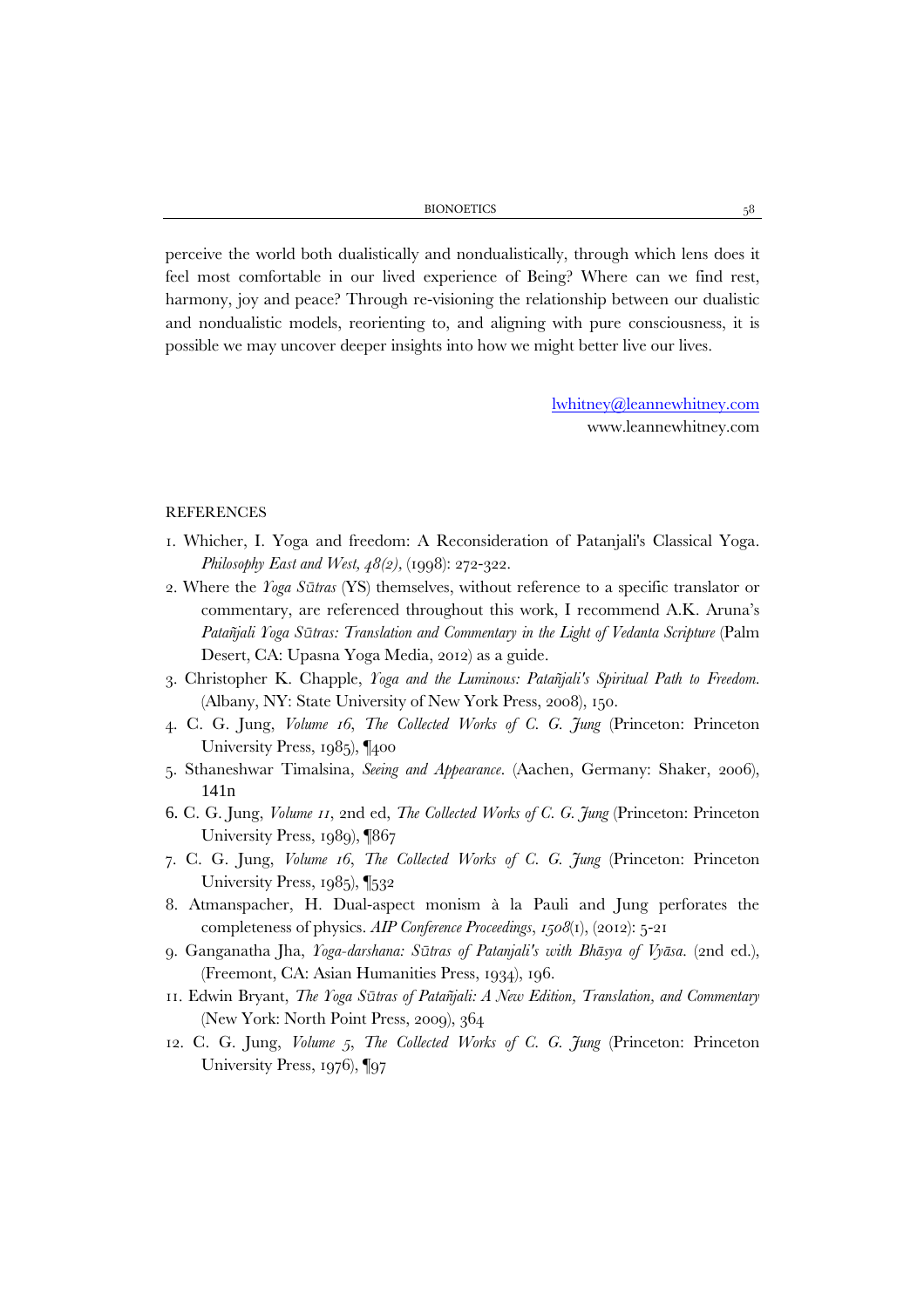perceive the world both dualistically and nondualistically, through which lens does it feel most comfortable in our lived experience of Being? Where can we find rest, harmony, joy and peace? Through re-visioning the relationship between our dualistic and nondualistic models, reorienting to, and aligning with pure consciousness, it is possible we may uncover deeper insights into how we might better live our lives.

> [lwhitney@leannewhitney.com](mailto:lwhitney@leannewhitney.com) www.leannewhitney.com

## REFERENCES

- 1. Whicher, I. Yoga and freedom: A Reconsideration of Patanjali's Classical Yoga. *Philosophy East and West, 48(2), (1998): 272-322.*
- 2. Where the *Yoga Sūtras* (YS) themselves, without reference to a specific translator or commentary, are referenced throughout this work, I recommend A.K. Aruna's *Patañjali Yoga Sūtras: Translation and Commentary in the Light of Vedanta Scripture* (Palm Desert, CA: Upasna Yoga Media, 2012) as a guide.
- 3. Christopher K. Chapple, *Yoga and the Luminous: Patañjali's Spiritual Path to Freedom.* (Albany, NY: State University of New York Press, 2008), 150.
- 4. C. G. Jung, *Volume 16*, *The Collected Works of C. G. Jung* (Princeton: Princeton University Press, 1985), ¶400
- 5. Sthaneshwar Timalsina, *Seeing and Appearance*. (Aachen, Germany: Shaker, 2006), 141n
- 6. C. G. Jung, *Volume 11*, 2nd ed, *The Collected Works of C. G. Jung* (Princeton: Princeton University Press, 1989), ¶867
- 7. C. G. Jung, *Volume 16*, *The Collected Works of C. G. Jung* (Princeton: Princeton University Press, 1985), [532]
- 8. Atmanspacher, H. Dual-aspect monism à la Pauli and Jung perforates the completeness of physics. *AIP Conference Proceedings*, *1508*(1), (2012): 5-21
- 9. Ganganatha Jha, *Yoga-darshana: Sūtras of Patanjali's with Bhāsya of Vyāsa*. (2nd ed.), (Freemont, CA: Asian Humanities Press, 1934), 196.
- 11. Edwin Bryant, *The Yoga Sūtras of Patañjali: A New Edition, Translation, and Commentary* (New York: North Point Press, 2009), 364
- 12. C. G. Jung, *Volume 5*, *The Collected Works of C. G. Jung* (Princeton: Princeton University Press, 1976), ¶97